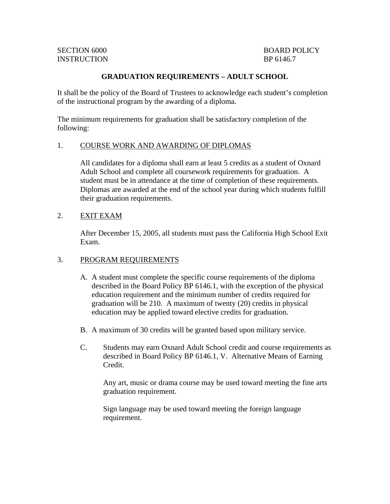# **GRADUATION REQUIREMENTS – ADULT SCHOOL**

It shall be the policy of the Board of Trustees to acknowledge each student's completion of the instructional program by the awarding of a diploma.

The minimum requirements for graduation shall be satisfactory completion of the following:

### 1. COURSE WORK AND AWARDING OF DIPLOMAS

All candidates for a diploma shall earn at least 5 credits as a student of Oxnard Adult School and complete all coursework requirements for graduation. A student must be in attendance at the time of completion of these requirements. Diplomas are awarded at the end of the school year during which students fulfill their graduation requirements.

### 2. EXIT EXAM

After December 15, 2005, all students must pass the California High School Exit Exam.

# 3. PROGRAM REQUIREMENTS

- A. A student must complete the specific course requirements of the diploma described in the Board Policy BP 6146.1, with the exception of the physical education requirement and the minimum number of credits required for graduation will be 210. A maximum of twenty (20) credits in physical education may be applied toward elective credits for graduation.
- B. A maximum of 30 credits will be granted based upon military service.
- C. Students may earn Oxnard Adult School credit and course requirements as described in Board Policy BP 6146.1, V. Alternative Means of Earning Credit.

 Any art, music or drama course may be used toward meeting the fine arts graduation requirement.

Sign language may be used toward meeting the foreign language requirement.